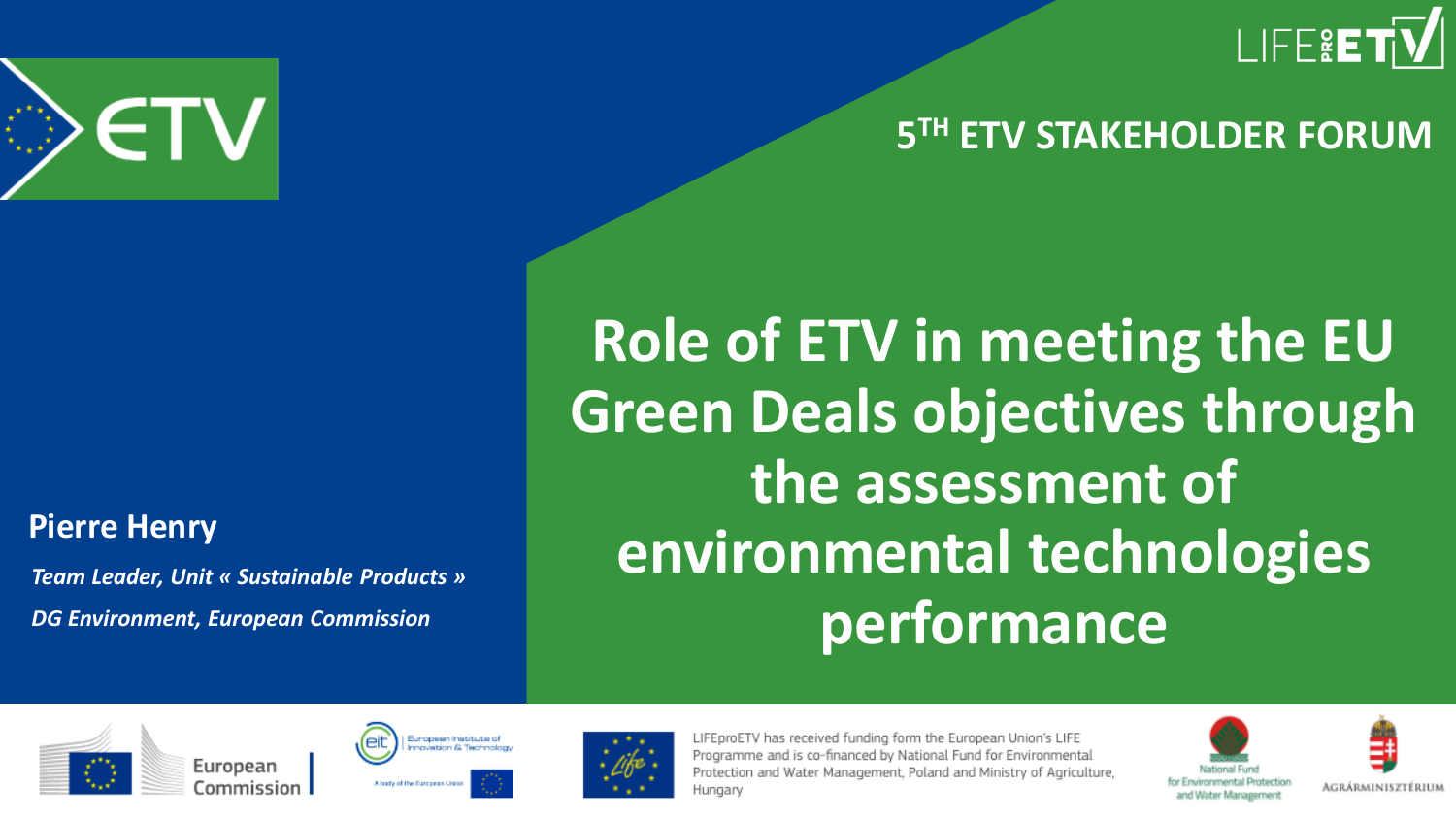

### **5 TH ETV STAKEHOLDER FORUM**

## **Role of ETV in meeting the EU Green Deals objectives through the assessment of environmental technologies performance**



#### **Pierre Henry**

*Team Leader, Unit « Sustainable Products » DG Environment, European Commission* 







LIFEproETV has received funding form the European Union's LIFE Programme and is co-financed by National Fund for Environmental Protection and Water Management, Poland and Ministry of Agriculture, Hungary



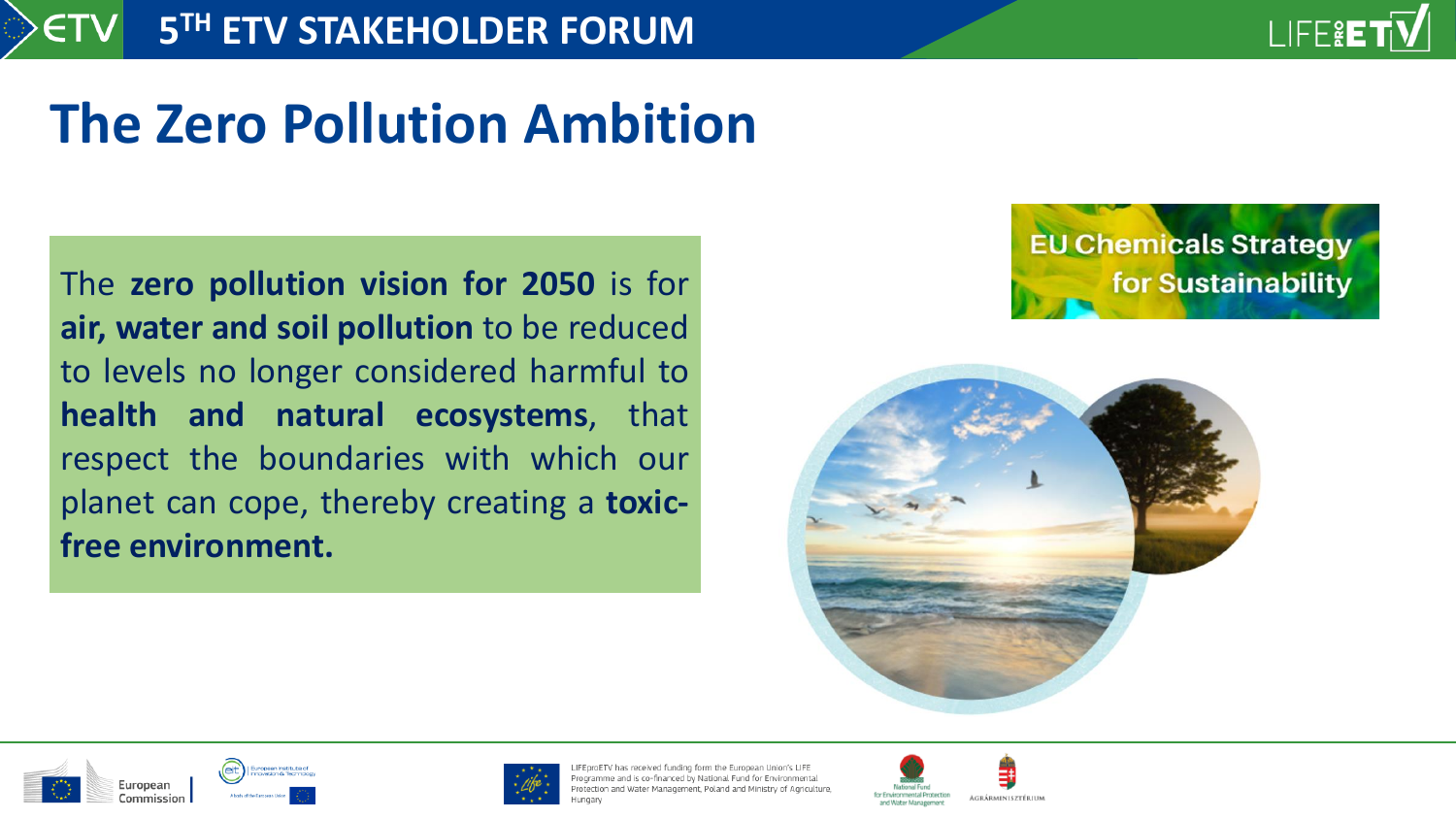## **The Zero Pollution Ambition**

The **zero pollution vision for 2050** is for **air, water and soil pollution** to be reduced to levels no longer considered harmful to **health and natural ecosystems**, that respect the boundaries with which our planet can cope, thereby creating a **toxicfree environment.**









oroETV has received funding form the European Union's LIFE: ogramme and is co-financed by National Fund for Environmental tection and Water Management, Poland and Ministry of Agriculture,

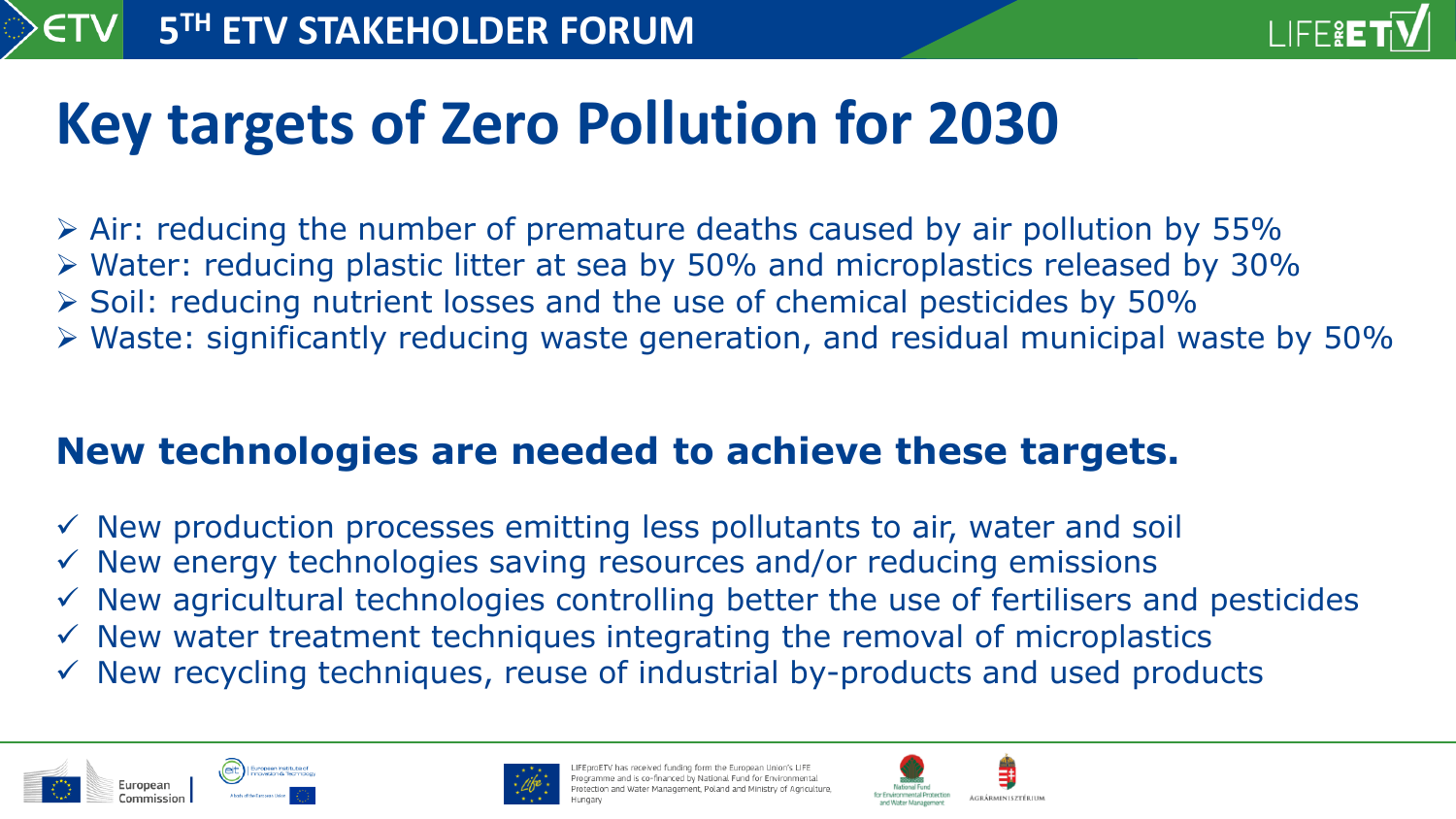

## **Key targets of Zero Pollution for 2030**

- ➢ Air: reducing the number of premature deaths caused by air pollution by 55%
- ➢ Water: reducing plastic litter at sea by 50% and microplastics released by 30%
- ➢ Soil: reducing nutrient losses and the use of chemical pesticides by 50%
- ➢ Waste: significantly reducing waste generation, and residual municipal waste by 50%

### **New technologies are needed to achieve these targets.**

- $\checkmark$  New production processes emitting less pollutants to air, water and soil
- $\checkmark$  New energy technologies saving resources and/or reducing emissions
- $\checkmark$  New agricultural technologies controlling better the use of fertilisers and pesticides
- $\checkmark$  New water treatment techniques integrating the removal of microplastics
- $\checkmark$  New recycling techniques, reuse of industrial by-products and used products





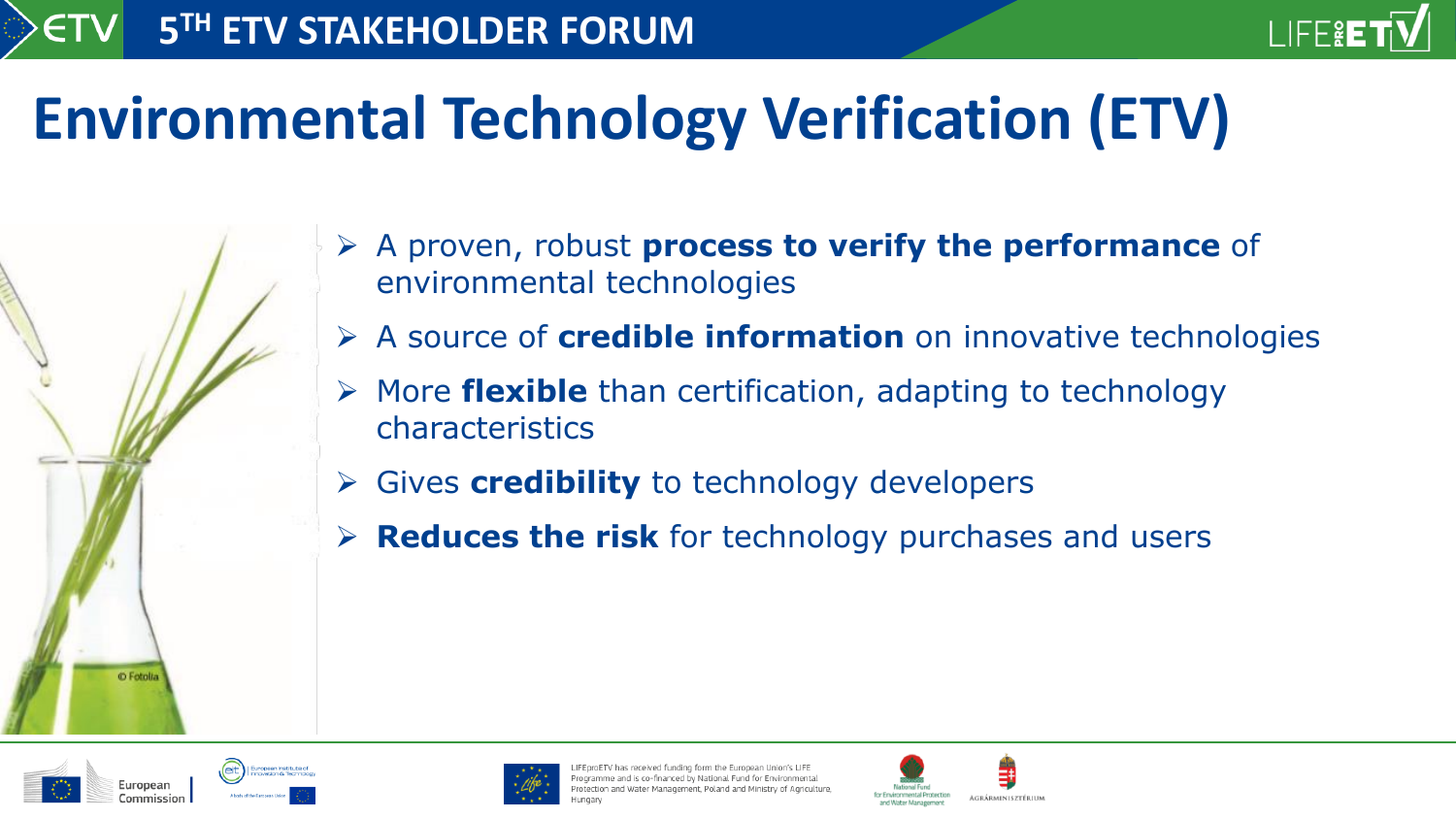

## **Environmental Technology Verification (ETV)**

- ➢ A proven, robust **process to verify the performance** of environmental technologies
- ➢ A source of **credible information** on innovative technologies
- ➢ More **flexible** than certification, adapting to technology characteristics
- ➢ Gives **credibility** to technology developers
- ➢ **Reduces the risk** for technology purchases and users



C Fotolia



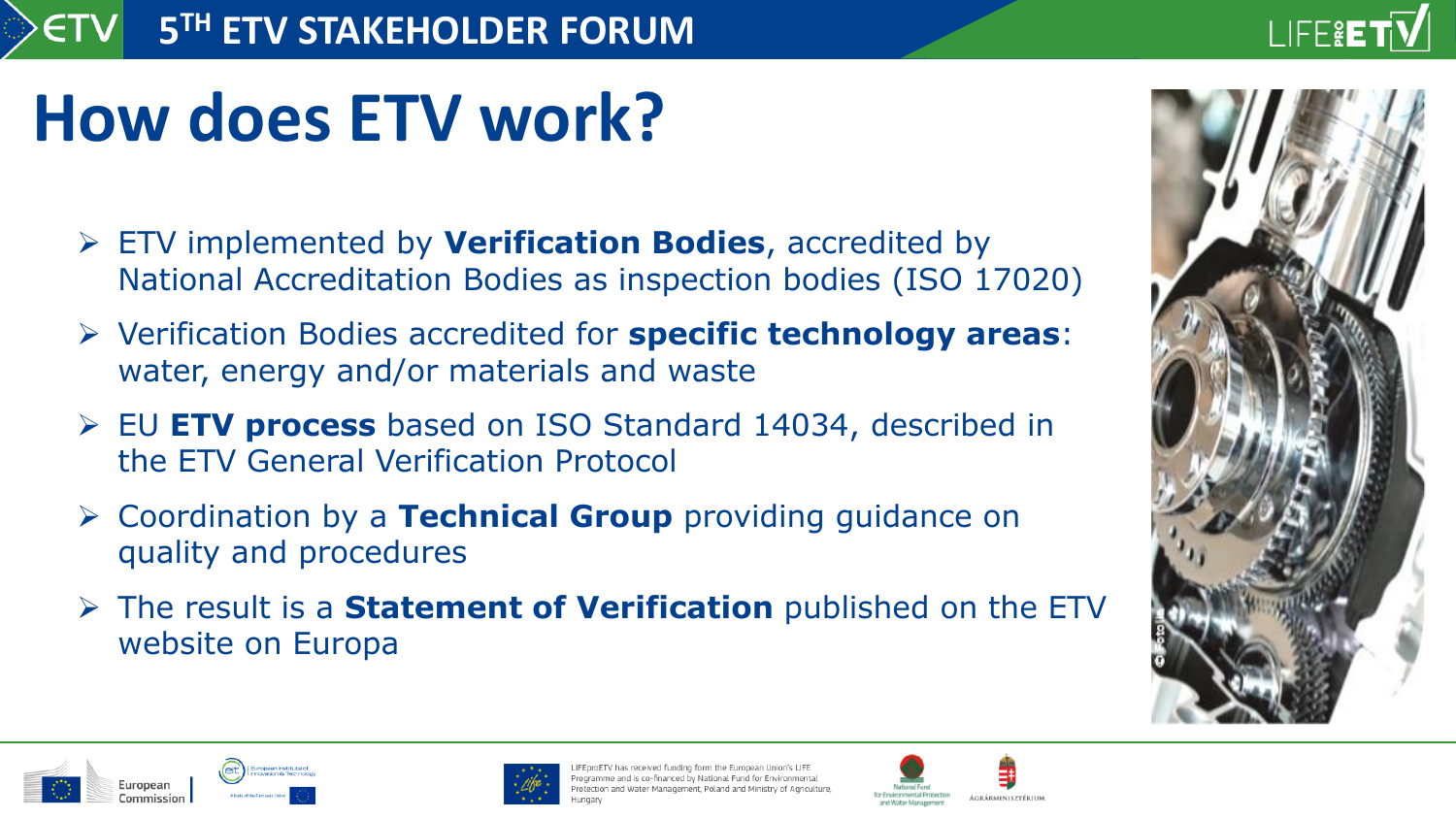### LIFE&E<sup>-</sup>

# **How does ETV work?**

- ➢ ETV implemented by **Verification Bodies**, accredited by National Accreditation Bodies as inspection bodies (ISO 17020)
- ➢ Verification Bodies accredited for **specific technology areas**: water, energy and/or materials and waste
- ➢ EU **ETV process** based on ISO Standard 14034, described in the ETV General Verification Protocol
- ➢ Coordination by a **Technical Group** providing guidance on quality and procedures
- ➢ The result is a **Statement of Verification** published on the ETV website on Europa







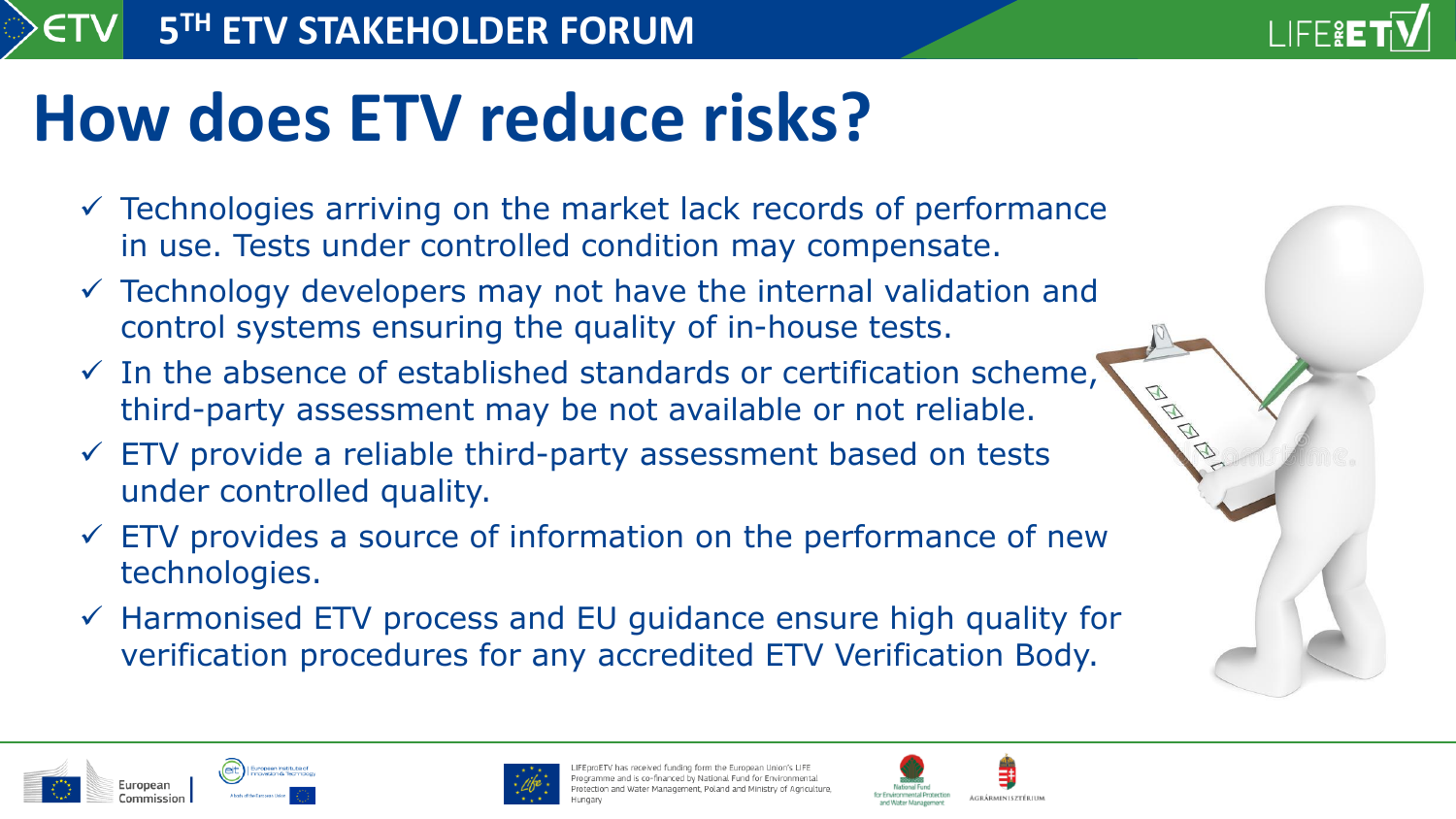

# **How does ETV reduce risks?**

- $\checkmark$  Technologies arriving on the market lack records of performance in use. Tests under controlled condition may compensate.
- $\checkmark$  Technology developers may not have the internal validation and control systems ensuring the quality of in-house tests.
- $\checkmark$  In the absence of established standards or certification scheme, third-party assessment may be not available or not reliable.
- $\checkmark$  ETV provide a reliable third-party assessment based on tests under controlled quality.
- $\checkmark$  ETV provides a source of information on the performance of new technologies.
- ✓ Harmonised ETV process and EU guidance ensure high quality for verification procedures for any accredited ETV Verification Body.





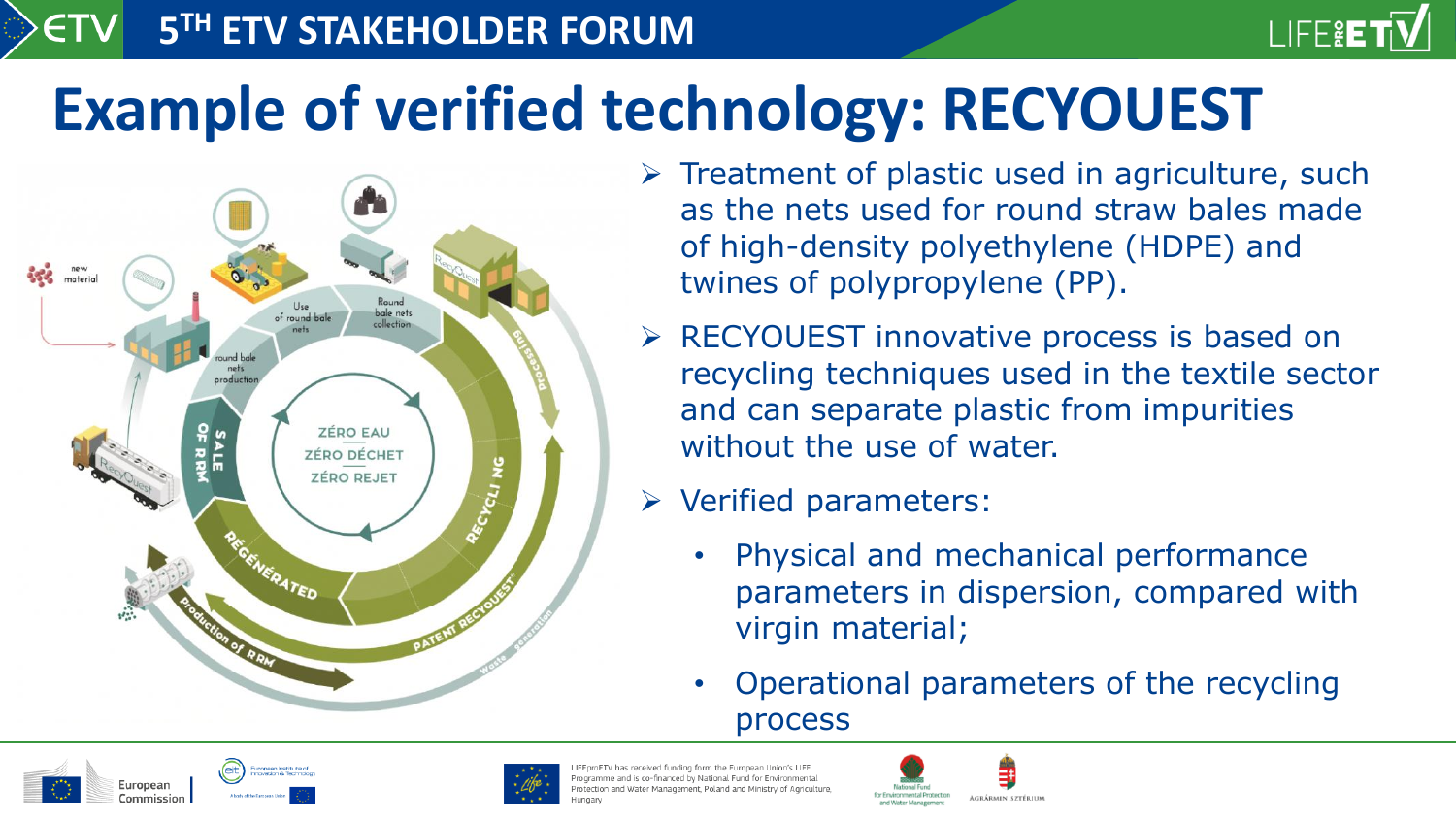## **Example of verified technology: RECYOUEST**



**5 TH ETV STAKEHOLDER FORUM**

 $\triangleright$  Treatment of plastic used in agriculture, such as the nets used for round straw bales made of high-density polyethylene (HDPE) and twines of polypropylene (PP).

LIFE&ET

- ➢ RECYOUEST innovative process is based on recycling techniques used in the textile sector and can separate plastic from impurities without the use of water.
- ➢ Verified parameters:
	- Physical and mechanical performance parameters in dispersion, compared with virgin material;
	- Operational parameters of the recycling process





has received funding form the European Union's LIFE ne and is co-financed by National Fund for Environmenta d Water Management. Poland and Ministry of Agriculture

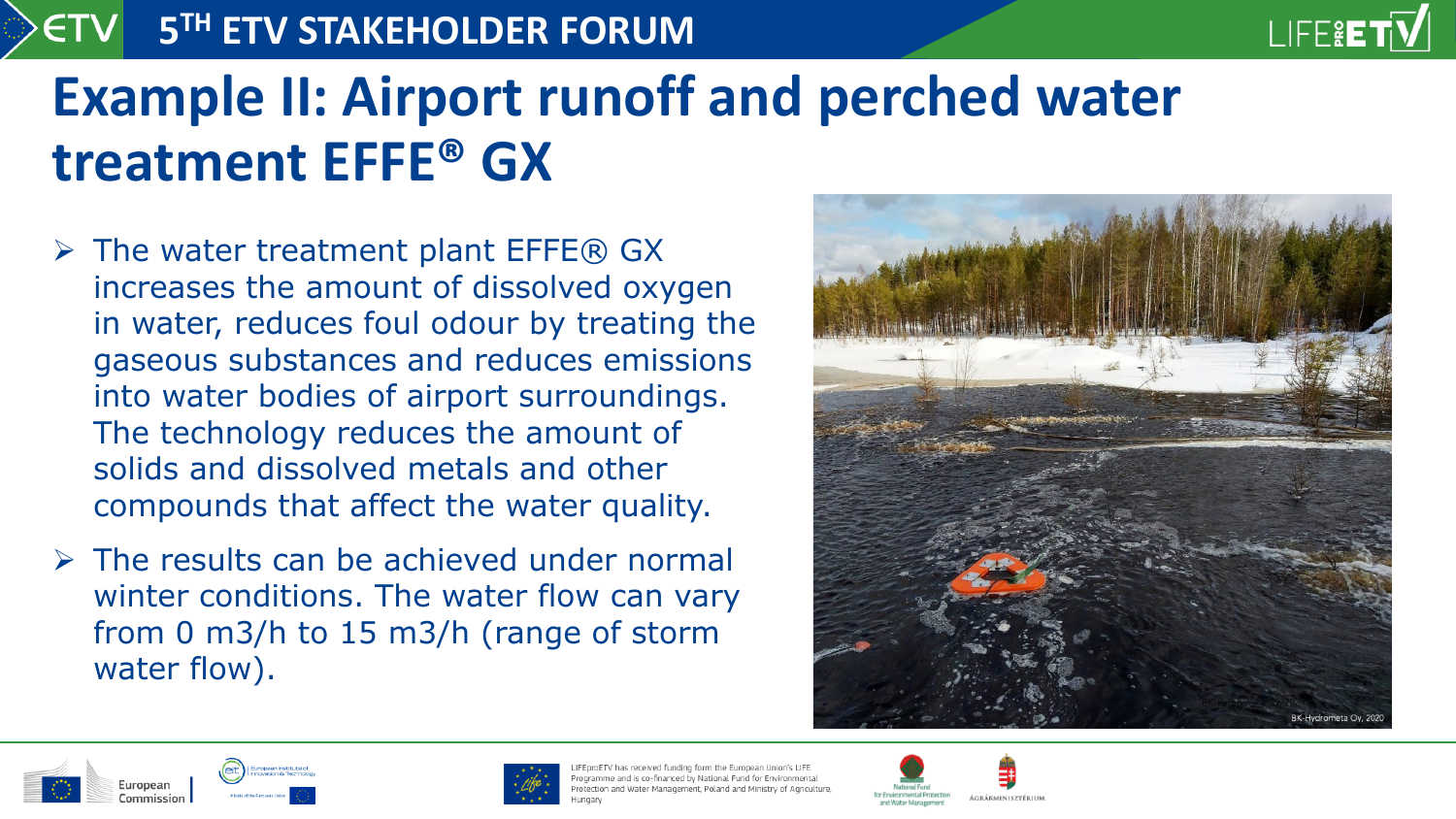

### **5 TH ETV STAKEHOLDER FORUM**

### **Example II: Airport runoff and perched water treatment EFFE® GX**

- $\triangleright$  The water treatment plant EFFE® GX increases the amount of dissolved oxygen in water, reduces foul odour by treating the gaseous substances and reduces emissions into water bodies of airport surroundings. The technology reduces the amount of solids and dissolved metals and other compounds that affect the water quality.
- $\triangleright$  The results can be achieved under normal winter conditions. The water flow can vary from 0 m3/h to 15 m3/h (range of storm water flow).